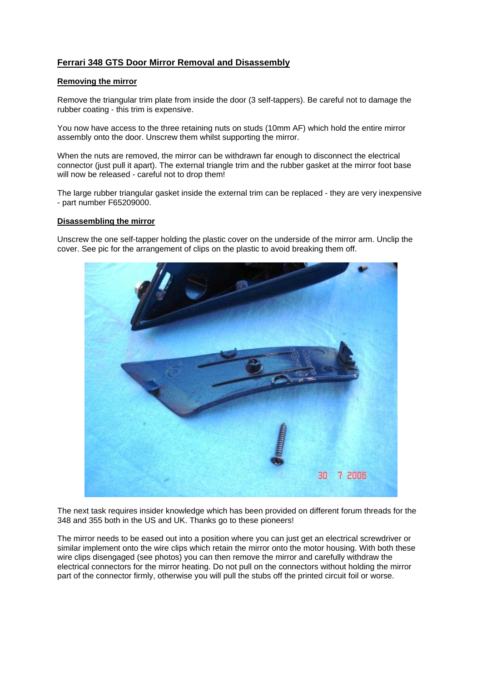## **Ferrari 348 GTS Door Mirror Removal and Disassembly**

## **Removing the mirror**

Remove the triangular trim plate from inside the door (3 self-tappers). Be careful not to damage the rubber coating - this trim is expensive.

You now have access to the three retaining nuts on studs (10mm AF) which hold the entire mirror assembly onto the door. Unscrew them whilst supporting the mirror.

When the nuts are removed, the mirror can be withdrawn far enough to disconnect the electrical connector (just pull it apart). The external triangle trim and the rubber gasket at the mirror foot base will now be released - careful not to drop them!

The large rubber triangular gasket inside the external trim can be replaced - they are very inexpensive - part number F65209000.

## **Disassembling the mirror**

Unscrew the one self-tapper holding the plastic cover on the underside of the mirror arm. Unclip the cover. See pic for the arrangement of clips on the plastic to avoid breaking them off.



The next task requires insider knowledge which has been provided on different forum threads for the 348 and 355 both in the US and UK. Thanks go to these pioneers!

The mirror needs to be eased out into a position where you can just get an electrical screwdriver or similar implement onto the wire clips which retain the mirror onto the motor housing. With both these wire clips disengaged (see photos) you can then remove the mirror and carefully withdraw the electrical connectors for the mirror heating. Do not pull on the connectors without holding the mirror part of the connector firmly, otherwise you will pull the stubs off the printed circuit foil or worse.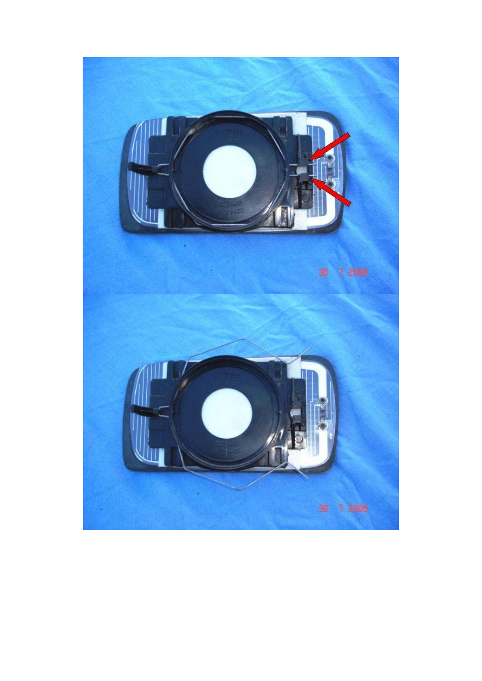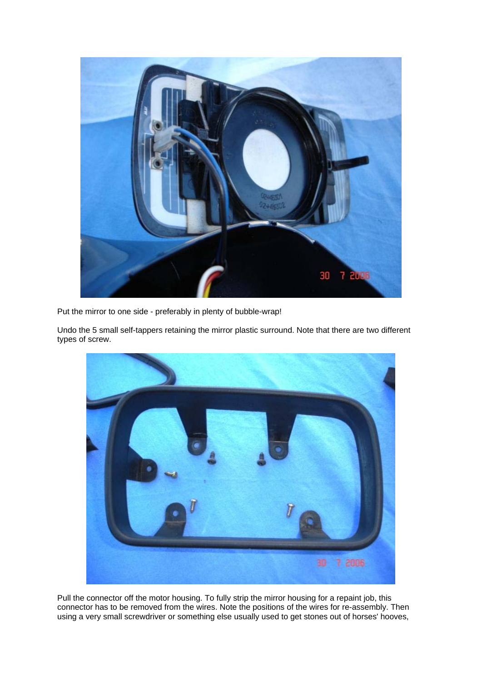

Put the mirror to one side - preferably in plenty of bubble-wrap!

Undo the 5 small self-tappers retaining the mirror plastic surround. Note that there are two different types of screw.



Pull the connector off the motor housing. To fully strip the mirror housing for a repaint job, this connector has to be removed from the wires. Note the positions of the wires for re-assembly. Then using a very small screwdriver or something else usually used to get stones out of horses' hooves,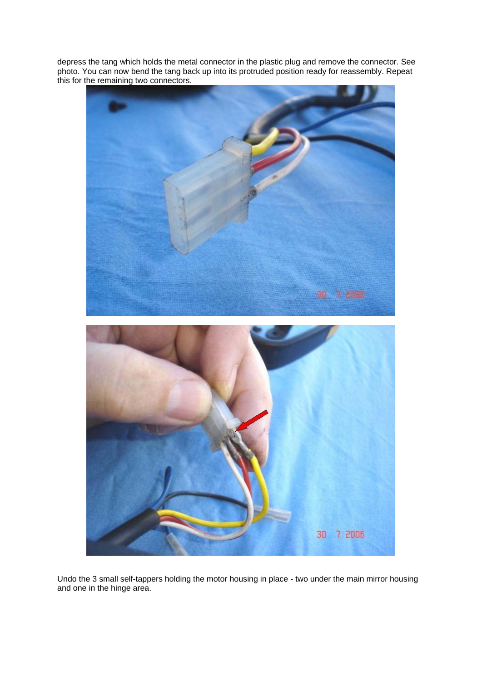depress the tang which holds the metal connector in the plastic plug and remove the connector. See photo. You can now bend the tang back up into its protruded position ready for reassembly. Repeat this for the remaining two connectors.



Undo the 3 small self-tappers holding the motor housing in place - two under the main mirror housing and one in the hinge area.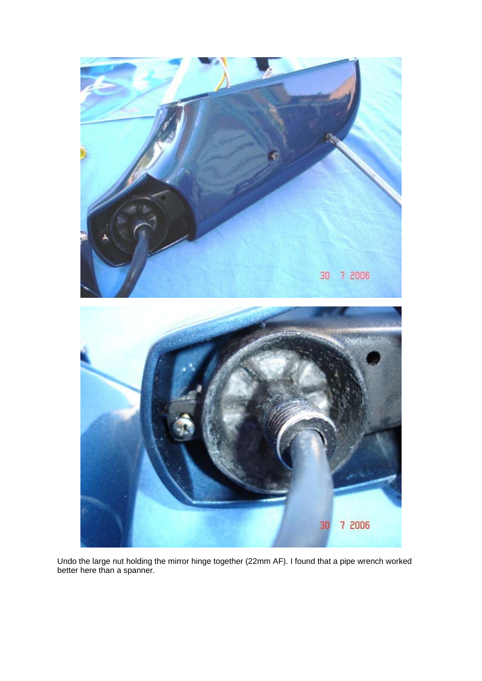

Undo the large nut holding the mirror hinge together (22mm AF). I found that a pipe wrench worked better here than a spanner.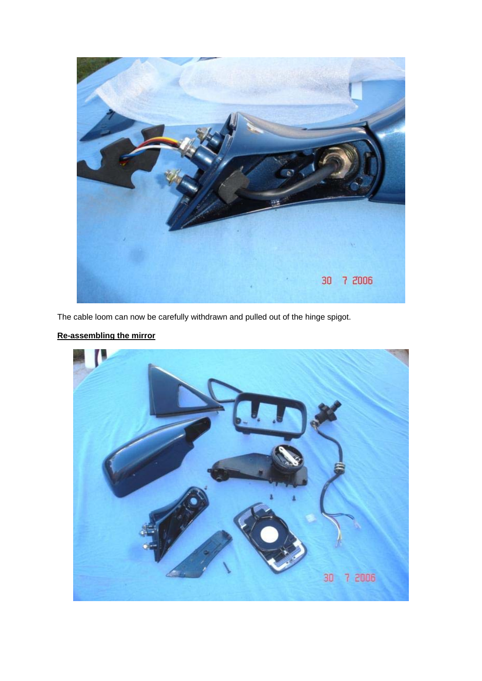

The cable loom can now be carefully withdrawn and pulled out of the hinge spigot.